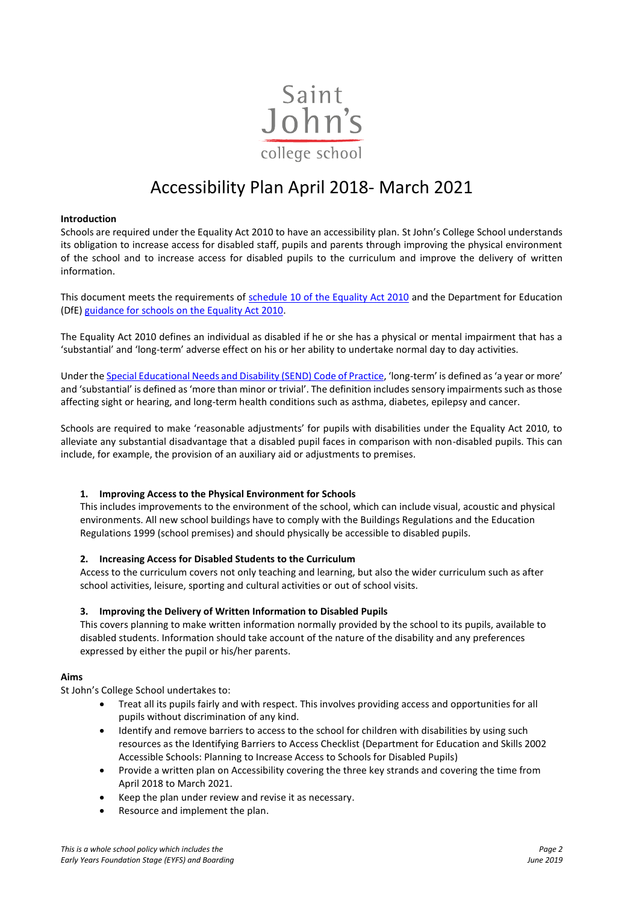

# Accessibility Plan April 2018- March 2021

# **Introduction**

Schools are required under the Equality Act 2010 to have an accessibility plan. St John's College School understands its obligation to increase access for disabled staff, pupils and parents through improving the physical environment of the school and to increase access for disabled pupils to the curriculum and improve the delivery of written information.

This document meets the requirements of [schedule 10 of the Equality Act 2010](http://www.legislation.gov.uk/ukpga/2010/15/schedule/10) and the Department for Education (DfE) [guidance for schools on the Equality Act 2010.](https://www.gov.uk/government/publications/equality-act-2010-advice-for-schools)

The Equality Act 2010 defines an individual as disabled if he or she has a physical or mental impairment that has a 'substantial' and 'long-term' adverse effect on his or her ability to undertake normal day to day activities.

Under th[e Special Educational Needs and Disability \(SEND\) Code of Practice](https://www.gov.uk/government/publications/send-code-of-practice-0-to-25), 'long-term' is defined as 'a year or more' and 'substantial' is defined as 'more than minor or trivial'. The definition includes sensory impairments such as those affecting sight or hearing, and long-term health conditions such as asthma, diabetes, epilepsy and cancer.

Schools are required to make 'reasonable adjustments' for pupils with disabilities under the Equality Act 2010, to alleviate any substantial disadvantage that a disabled pupil faces in comparison with non-disabled pupils. This can include, for example, the provision of an auxiliary aid or adjustments to premises.

# **1. Improving Access to the Physical Environment for Schools**

This includes improvements to the environment of the school, which can include visual, acoustic and physical environments. All new school buildings have to comply with the Buildings Regulations and the Education Regulations 1999 (school premises) and should physically be accessible to disabled pupils.

# **2. Increasing Access for Disabled Students to the Curriculum**

Access to the curriculum covers not only teaching and learning, but also the wider curriculum such as after school activities, leisure, sporting and cultural activities or out of school visits.

# **3. Improving the Delivery of Written Information to Disabled Pupils**

This covers planning to make written information normally provided by the school to its pupils, available to disabled students. Information should take account of the nature of the disability and any preferences expressed by either the pupil or his/her parents.

# **Aims**

St John's College School undertakes to:

- Treat all its pupils fairly and with respect. This involves providing access and opportunities for all pupils without discrimination of any kind.
- Identify and remove barriers to access to the school for children with disabilities by using such resources as the Identifying Barriers to Access Checklist (Department for Education and Skills 2002 Accessible Schools: Planning to Increase Access to Schools for Disabled Pupils)
- Provide a written plan on Accessibility covering the three key strands and covering the time from April 2018 to March 2021.
- Keep the plan under review and revise it as necessary.
- Resource and implement the plan.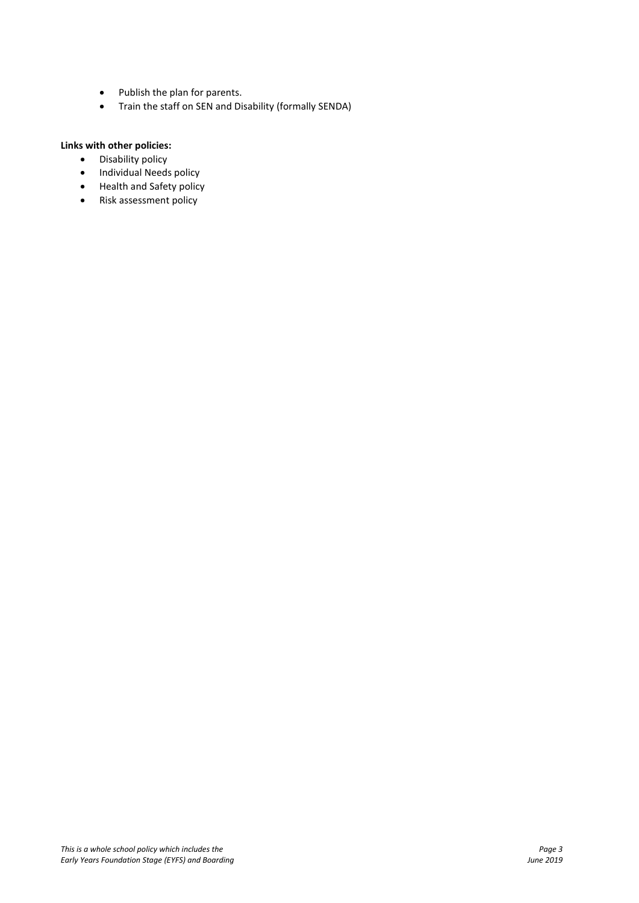- Publish the plan for parents.
- Train the staff on SEN and Disability (formally SENDA)

# **Links with other policies:**

- Disability policy<br>• Individual Needs
- Individual Needs policy
- Health and Safety policy
- Risk assessment policy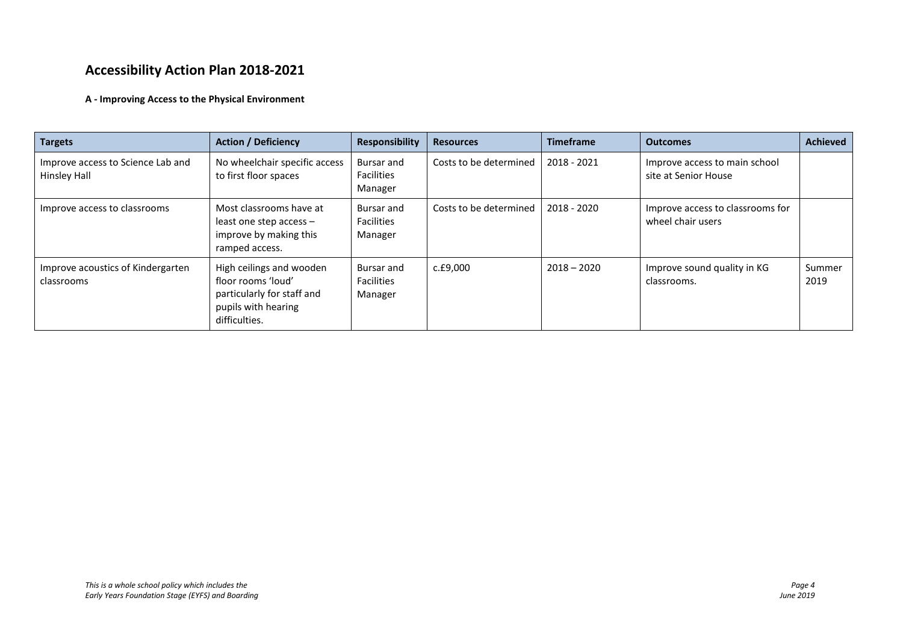# **Accessibility Action Plan 2018-2021**

# **A - Improving Access to the Physical Environment**

| <b>Targets</b>                                    | <b>Action / Deficiency</b>                                                                                           | <b>Responsibility</b>                      | <b>Resources</b>       | <b>Timeframe</b> | <b>Outcomes</b>                                       | <b>Achieved</b> |
|---------------------------------------------------|----------------------------------------------------------------------------------------------------------------------|--------------------------------------------|------------------------|------------------|-------------------------------------------------------|-----------------|
| Improve access to Science Lab and<br>Hinsley Hall | No wheelchair specific access<br>to first floor spaces                                                               | Bursar and<br><b>Facilities</b><br>Manager | Costs to be determined | 2018 - 2021      | Improve access to main school<br>site at Senior House |                 |
| Improve access to classrooms                      | Most classrooms have at<br>least one step access $-$<br>improve by making this<br>ramped access.                     | Bursar and<br><b>Facilities</b><br>Manager | Costs to be determined | 2018 - 2020      | Improve access to classrooms for<br>wheel chair users |                 |
| Improve acoustics of Kindergarten<br>classrooms   | High ceilings and wooden<br>floor rooms 'loud'<br>particularly for staff and<br>pupils with hearing<br>difficulties. | Bursar and<br><b>Facilities</b><br>Manager | c.£9,000               | $2018 - 2020$    | Improve sound quality in KG<br>classrooms.            | Summer<br>2019  |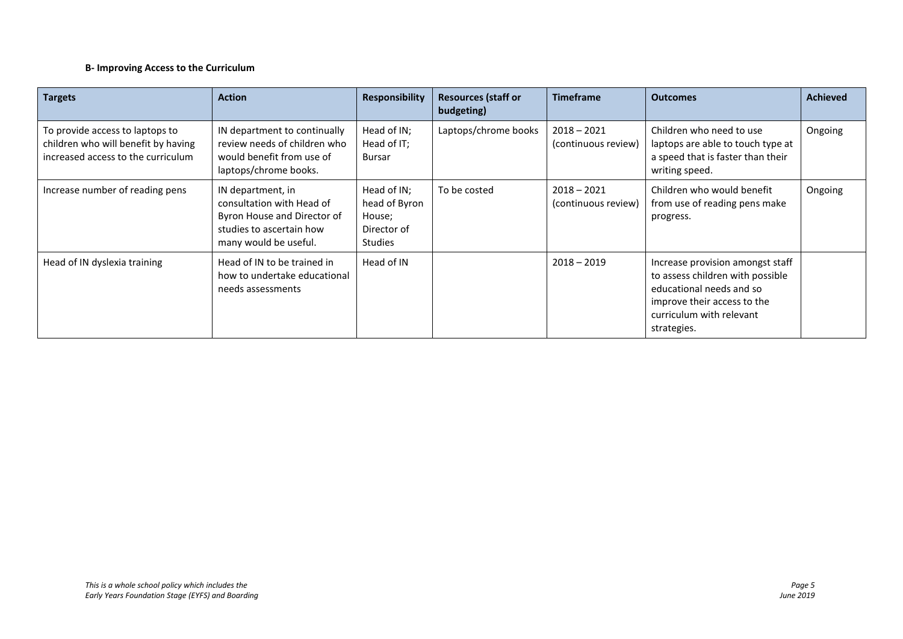# **B- Improving Access to the Curriculum**

| <b>Targets</b>                                                                                               | <b>Action</b>                                                                                                                      | <b>Responsibility</b>                                                   | <b>Resources (staff or</b><br>budgeting) | <b>Timeframe</b>                     | <b>Outcomes</b>                                                                                                                                                            | <b>Achieved</b> |
|--------------------------------------------------------------------------------------------------------------|------------------------------------------------------------------------------------------------------------------------------------|-------------------------------------------------------------------------|------------------------------------------|--------------------------------------|----------------------------------------------------------------------------------------------------------------------------------------------------------------------------|-----------------|
| To provide access to laptops to<br>children who will benefit by having<br>increased access to the curriculum | IN department to continually<br>review needs of children who<br>would benefit from use of<br>laptops/chrome books.                 | Head of IN;<br>Head of IT;<br>Bursar                                    | Laptops/chrome books                     | $2018 - 2021$<br>(continuous review) | Children who need to use<br>laptops are able to touch type at<br>a speed that is faster than their<br>writing speed.                                                       | Ongoing         |
| Increase number of reading pens                                                                              | IN department, in<br>consultation with Head of<br>Byron House and Director of<br>studies to ascertain how<br>many would be useful. | Head of IN;<br>head of Byron<br>House;<br>Director of<br><b>Studies</b> | To be costed                             | $2018 - 2021$<br>(continuous review) | Children who would benefit<br>from use of reading pens make<br>progress.                                                                                                   | Ongoing         |
| Head of IN dyslexia training                                                                                 | Head of IN to be trained in<br>how to undertake educational<br>needs assessments                                                   | Head of IN                                                              |                                          | $2018 - 2019$                        | Increase provision amongst staff<br>to assess children with possible<br>educational needs and so<br>improve their access to the<br>curriculum with relevant<br>strategies. |                 |